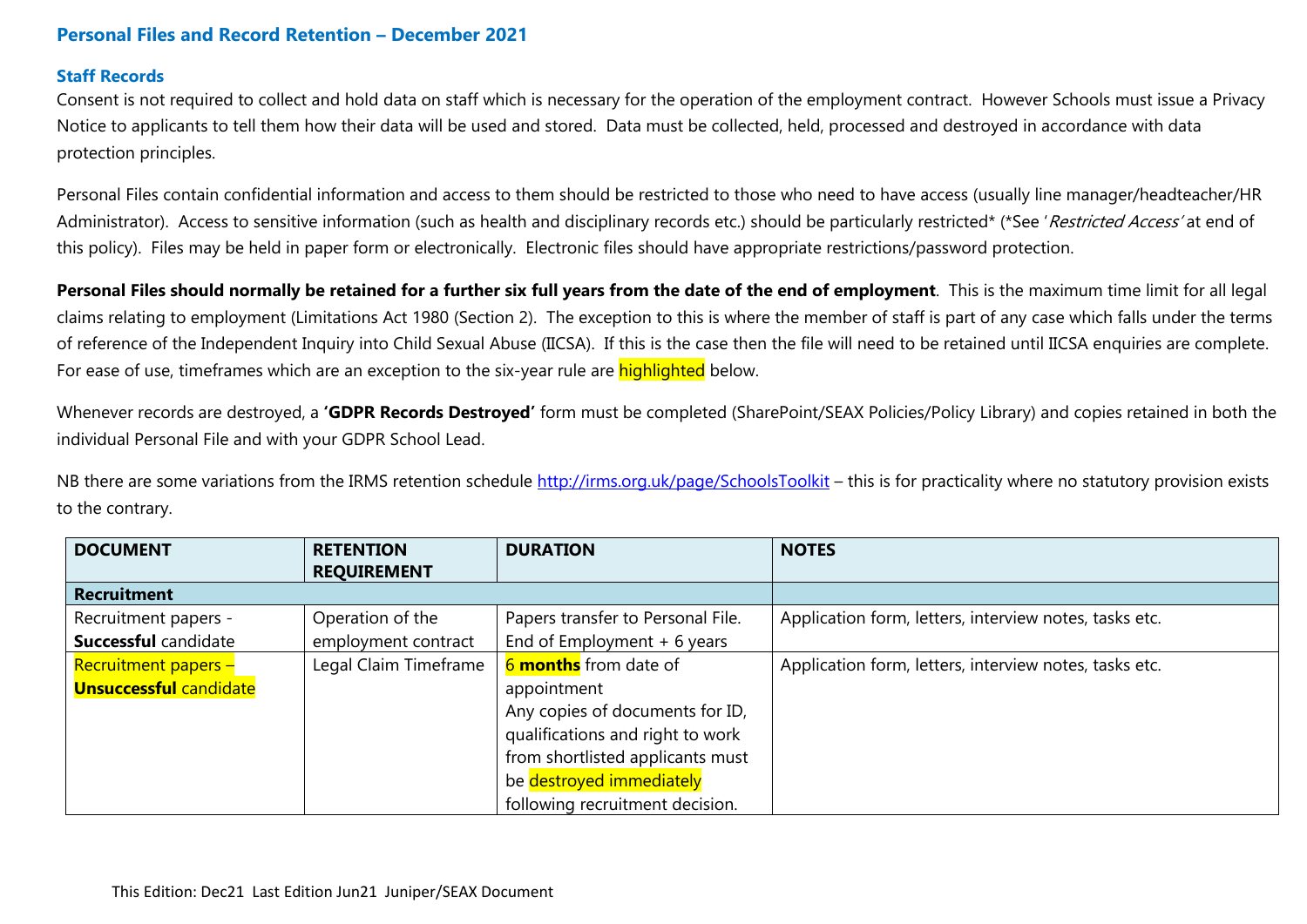# **Personal Files and Record Retention – December 2021**

#### **Staff Records**

Consent is not required to collect and hold data on staff which is necessary for the operation of the employment contract. However Schools must issue a Privacy Notice to applicants to tell them how their data will be used and stored. Data must be collected, held, processed and destroyed in accordance with data protection principles.

Personal Files contain confidential information and access to them should be restricted to those who need to have access (usually line manager/headteacher/HR Administrator). Access to sensitive information (such as health and disciplinary records etc.) should be particularly restricted\* (\*See 'Restricted Access' at end of this policy). Files may be held in paper form or electronically. Electronic files should have appropriate restrictions/password protection.

**Personal Files should normally be retained for a further six full years from the date of the end of employment**. This is the maximum time limit for all legal claims relating to employment (Limitations Act 1980 (Section 2). The exception to this is where the member of staff is part of any case which falls under the terms of reference of the Independent Inquiry into Child Sexual Abuse (IICSA). If this is the case then the file will need to be retained until IICSA enquiries are complete. For ease of use, timeframes which are an exception to the six-year rule are **highlighted** below.

Whenever records are destroyed, a **'GDPR Records Destroyed'** form must be completed (SharePoint/SEAX Policies/Policy Library) and copies retained in both the individual Personal File and with your GDPR School Lead.

NB there are some variations from the IRMS retention schedule<http://irms.org.uk/page/SchoolsToolkit> – this is for practicality where no statutory provision exists to the contrary.

| <b>DOCUMENT</b>               | <b>RETENTION</b><br><b>REQUIREMENT</b> | <b>DURATION</b>                   | <b>NOTES</b>                                           |
|-------------------------------|----------------------------------------|-----------------------------------|--------------------------------------------------------|
| <b>Recruitment</b>            |                                        |                                   |                                                        |
| Recruitment papers -          | Operation of the                       | Papers transfer to Personal File. | Application form, letters, interview notes, tasks etc. |
| <b>Successful candidate</b>   | employment contract                    | End of Employment $+6$ years      |                                                        |
| Recruitment papers -          | Legal Claim Timeframe                  | 6 months from date of             | Application form, letters, interview notes, tasks etc. |
| <b>Unsuccessful candidate</b> |                                        | appointment                       |                                                        |
|                               |                                        | Any copies of documents for ID,   |                                                        |
|                               |                                        | qualifications and right to work  |                                                        |
|                               |                                        | from shortlisted applicants must  |                                                        |
|                               |                                        | be destroyed immediately          |                                                        |
|                               |                                        | following recruitment decision.   |                                                        |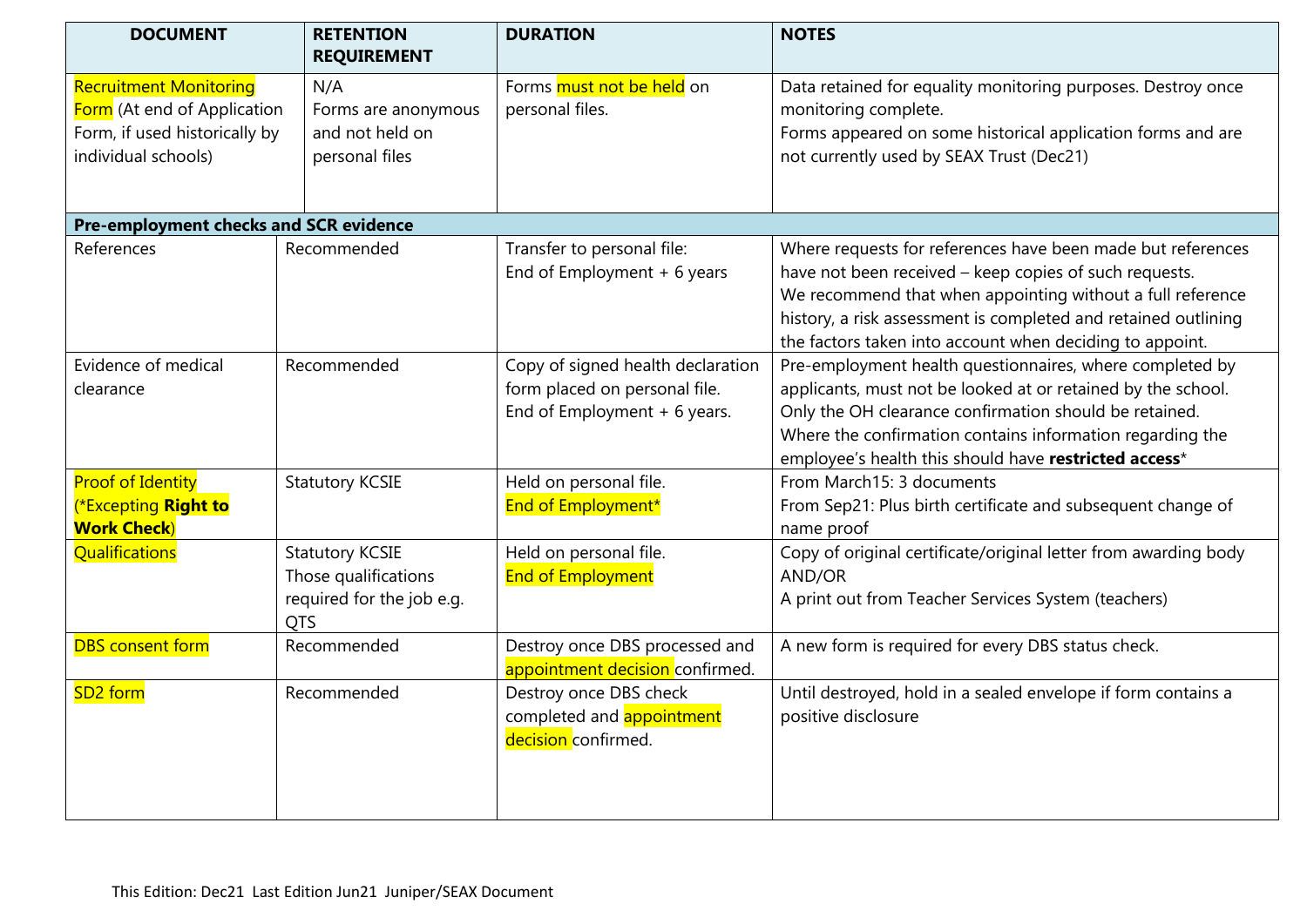| <b>DOCUMENT</b>                                                                                                      | <b>RETENTION</b><br><b>REQUIREMENT</b>                                                    | <b>DURATION</b>                                                                                     | <b>NOTES</b>                                                                                                                                                                                                                                                                                                      |
|----------------------------------------------------------------------------------------------------------------------|-------------------------------------------------------------------------------------------|-----------------------------------------------------------------------------------------------------|-------------------------------------------------------------------------------------------------------------------------------------------------------------------------------------------------------------------------------------------------------------------------------------------------------------------|
| <b>Recruitment Monitoring</b><br>Form (At end of Application<br>Form, if used historically by<br>individual schools) | N/A<br>Forms are anonymous<br>and not held on<br>personal files                           | Forms must not be held on<br>personal files.                                                        | Data retained for equality monitoring purposes. Destroy once<br>monitoring complete.<br>Forms appeared on some historical application forms and are<br>not currently used by SEAX Trust (Dec21)                                                                                                                   |
| Pre-employment checks and SCR evidence                                                                               |                                                                                           |                                                                                                     |                                                                                                                                                                                                                                                                                                                   |
| References                                                                                                           | Recommended                                                                               | Transfer to personal file:<br>End of Employment $+6$ years                                          | Where requests for references have been made but references<br>have not been received - keep copies of such requests.<br>We recommend that when appointing without a full reference<br>history, a risk assessment is completed and retained outlining<br>the factors taken into account when deciding to appoint. |
| Evidence of medical<br>clearance                                                                                     | Recommended                                                                               | Copy of signed health declaration<br>form placed on personal file.<br>End of Employment $+6$ years. | Pre-employment health questionnaires, where completed by<br>applicants, must not be looked at or retained by the school.<br>Only the OH clearance confirmation should be retained.<br>Where the confirmation contains information regarding the<br>employee's health this should have restricted access*          |
| <b>Proof of Identity</b><br><b>Excepting Right to</b><br><b>Work Check</b> )                                         | <b>Statutory KCSIE</b>                                                                    | Held on personal file.<br>End of Employment*                                                        | From March15: 3 documents<br>From Sep21: Plus birth certificate and subsequent change of<br>name proof                                                                                                                                                                                                            |
| Qualifications                                                                                                       | <b>Statutory KCSIE</b><br>Those qualifications<br>required for the job e.g.<br><b>QTS</b> | Held on personal file.<br><b>End of Employment</b>                                                  | Copy of original certificate/original letter from awarding body<br>AND/OR<br>A print out from Teacher Services System (teachers)                                                                                                                                                                                  |
| <b>DBS</b> consent form                                                                                              | Recommended                                                                               | Destroy once DBS processed and<br>appointment decision confirmed.                                   | A new form is required for every DBS status check.                                                                                                                                                                                                                                                                |
| SD <sub>2</sub> form                                                                                                 | Recommended                                                                               | Destroy once DBS check<br>completed and appointment<br>decision confirmed.                          | Until destroyed, hold in a sealed envelope if form contains a<br>positive disclosure                                                                                                                                                                                                                              |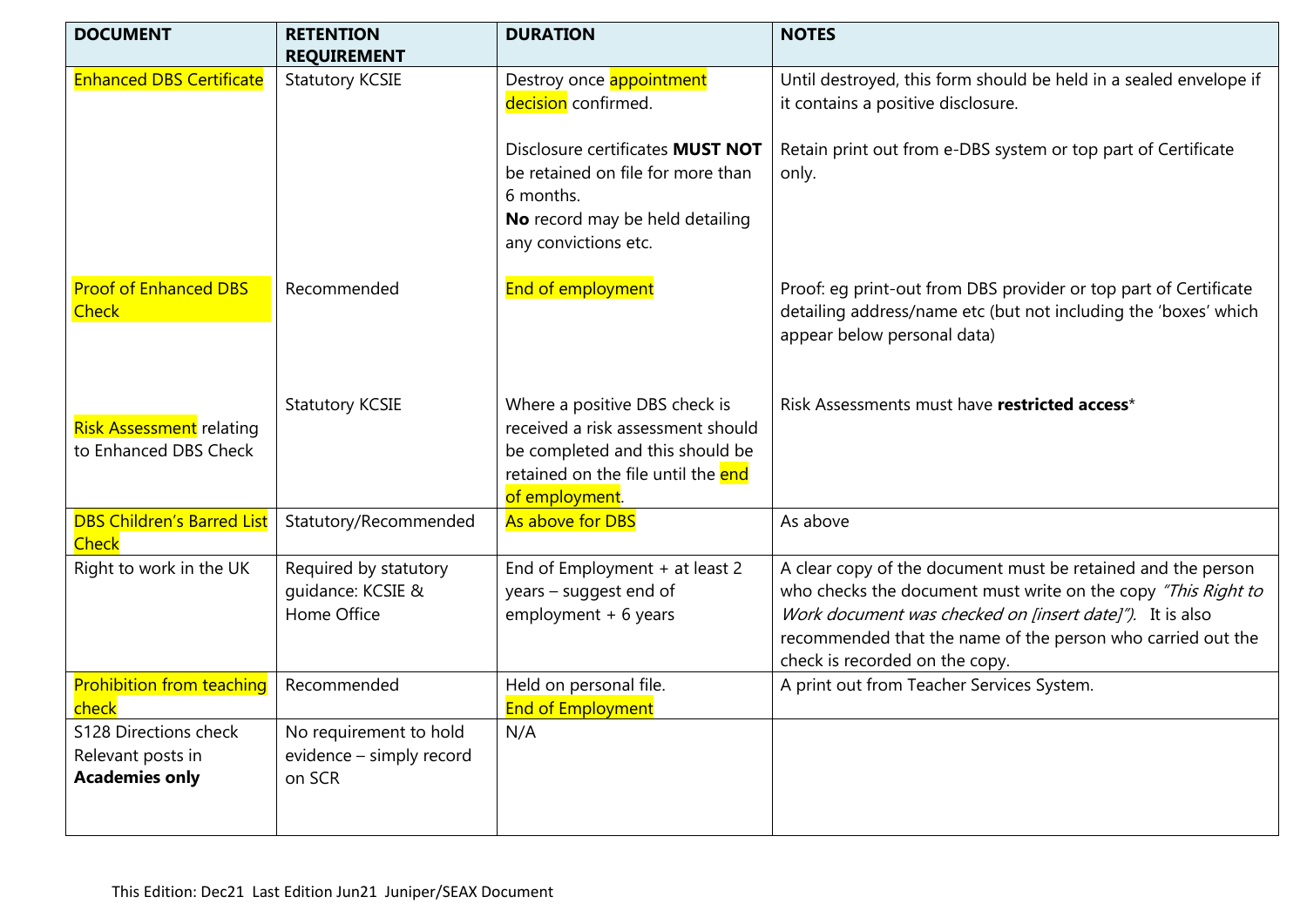| <b>DOCUMENT</b>                                                     | <b>RETENTION</b>                                             | <b>DURATION</b>                                                                                                                                               | <b>NOTES</b>                                                                                                                                                                                                                                                                               |
|---------------------------------------------------------------------|--------------------------------------------------------------|---------------------------------------------------------------------------------------------------------------------------------------------------------------|--------------------------------------------------------------------------------------------------------------------------------------------------------------------------------------------------------------------------------------------------------------------------------------------|
|                                                                     | <b>REQUIREMENT</b>                                           |                                                                                                                                                               |                                                                                                                                                                                                                                                                                            |
| <b>Enhanced DBS Certificate</b>                                     | <b>Statutory KCSIE</b>                                       | Destroy once appointment                                                                                                                                      | Until destroyed, this form should be held in a sealed envelope if                                                                                                                                                                                                                          |
|                                                                     |                                                              | decision confirmed.                                                                                                                                           | it contains a positive disclosure.                                                                                                                                                                                                                                                         |
|                                                                     |                                                              | Disclosure certificates MUST NOT<br>be retained on file for more than<br>6 months.<br>No record may be held detailing<br>any convictions etc.                 | Retain print out from e-DBS system or top part of Certificate<br>only.                                                                                                                                                                                                                     |
| <b>Proof of Enhanced DBS</b><br><b>Check</b>                        | Recommended                                                  | End of employment                                                                                                                                             | Proof: eg print-out from DBS provider or top part of Certificate<br>detailing address/name etc (but not including the 'boxes' which<br>appear below personal data)                                                                                                                         |
| <b>Risk Assessment</b> relating<br>to Enhanced DBS Check            | <b>Statutory KCSIE</b>                                       | Where a positive DBS check is<br>received a risk assessment should<br>be completed and this should be<br>retained on the file until the end<br>of employment. | Risk Assessments must have restricted access*                                                                                                                                                                                                                                              |
| <b>DBS Children's Barred List</b><br><b>Check</b>                   | Statutory/Recommended                                        | As above for DBS                                                                                                                                              | As above                                                                                                                                                                                                                                                                                   |
| Right to work in the UK                                             | Required by statutory<br>guidance: KCSIE &<br>Home Office    | End of Employment + at least 2<br>years - suggest end of<br>$employment + 6 years$                                                                            | A clear copy of the document must be retained and the person<br>who checks the document must write on the copy "This Right to<br>Work document was checked on [insert date]"). It is also<br>recommended that the name of the person who carried out the<br>check is recorded on the copy. |
| <b>Prohibition from teaching</b><br>check                           | Recommended                                                  | Held on personal file.<br><b>End of Employment</b>                                                                                                            | A print out from Teacher Services System.                                                                                                                                                                                                                                                  |
| S128 Directions check<br>Relevant posts in<br><b>Academies only</b> | No requirement to hold<br>evidence - simply record<br>on SCR | N/A                                                                                                                                                           |                                                                                                                                                                                                                                                                                            |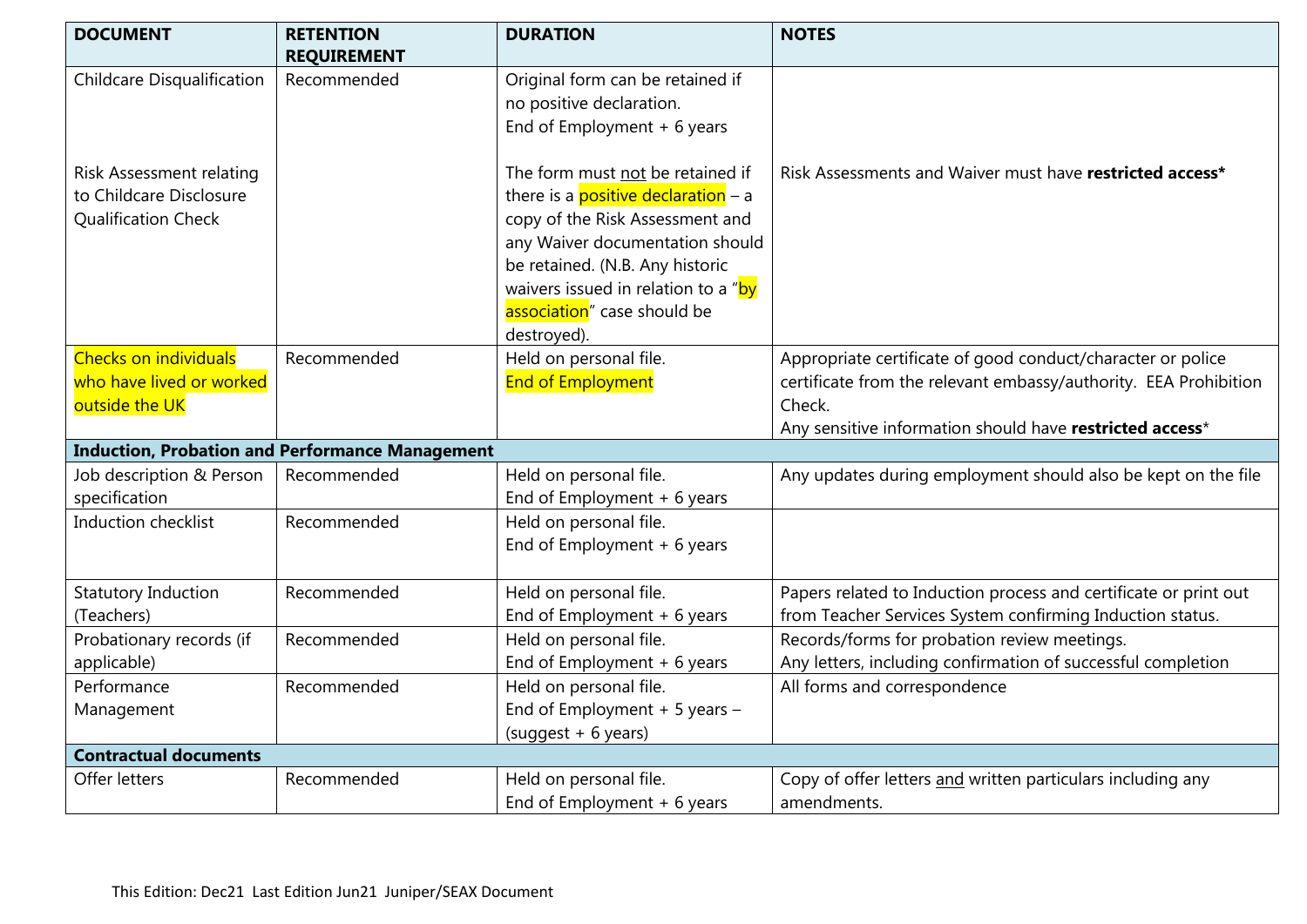| <b>DOCUMENT</b>                   | <b>RETENTION</b><br><b>REQUIREMENT</b>                 | <b>DURATION</b>                            | <b>NOTES</b>                                                     |
|-----------------------------------|--------------------------------------------------------|--------------------------------------------|------------------------------------------------------------------|
| <b>Childcare Disqualification</b> | Recommended                                            | Original form can be retained if           |                                                                  |
|                                   |                                                        | no positive declaration.                   |                                                                  |
|                                   |                                                        | End of Employment $+6$ years               |                                                                  |
|                                   |                                                        |                                            |                                                                  |
| Risk Assessment relating          |                                                        | The form must not be retained if           | Risk Assessments and Waiver must have restricted access*         |
| to Childcare Disclosure           |                                                        | there is a <b>positive declaration</b> - a |                                                                  |
| Qualification Check               |                                                        | copy of the Risk Assessment and            |                                                                  |
|                                   |                                                        | any Waiver documentation should            |                                                                  |
|                                   |                                                        | be retained. (N.B. Any historic            |                                                                  |
|                                   |                                                        | waivers issued in relation to a "by        |                                                                  |
|                                   |                                                        | association" case should be                |                                                                  |
|                                   |                                                        | destroyed).                                |                                                                  |
| <b>Checks on individuals</b>      | Recommended                                            | Held on personal file.                     | Appropriate certificate of good conduct/character or police      |
| who have lived or worked          |                                                        | <b>End of Employment</b>                   | certificate from the relevant embassy/authority. EEA Prohibition |
| outside the UK                    |                                                        |                                            | Check.                                                           |
|                                   |                                                        |                                            | Any sensitive information should have restricted access*         |
|                                   | <b>Induction, Probation and Performance Management</b> |                                            |                                                                  |
| Job description & Person          | Recommended                                            | Held on personal file.                     | Any updates during employment should also be kept on the file    |
| specification                     |                                                        | End of Employment $+6$ years               |                                                                  |
| Induction checklist               | Recommended                                            | Held on personal file.                     |                                                                  |
|                                   |                                                        | End of Employment $+6$ years               |                                                                  |
| <b>Statutory Induction</b>        | Recommended                                            | Held on personal file.                     | Papers related to Induction process and certificate or print out |
| (Teachers)                        |                                                        | End of Employment $+6$ years               | from Teacher Services System confirming Induction status.        |
| Probationary records (if          | Recommended                                            | Held on personal file.                     | Records/forms for probation review meetings.                     |
| applicable)                       |                                                        | End of Employment + 6 years                | Any letters, including confirmation of successful completion     |
| Performance                       | Recommended                                            | Held on personal file.                     | All forms and correspondence                                     |
| Management                        |                                                        | End of Employment $+5$ years $-$           |                                                                  |
|                                   |                                                        | $(suggest + 6 years)$                      |                                                                  |
| <b>Contractual documents</b>      |                                                        |                                            |                                                                  |
| Offer letters                     | Recommended                                            | Held on personal file.                     | Copy of offer letters and written particulars including any      |
|                                   |                                                        | End of Employment $+6$ years               | amendments.                                                      |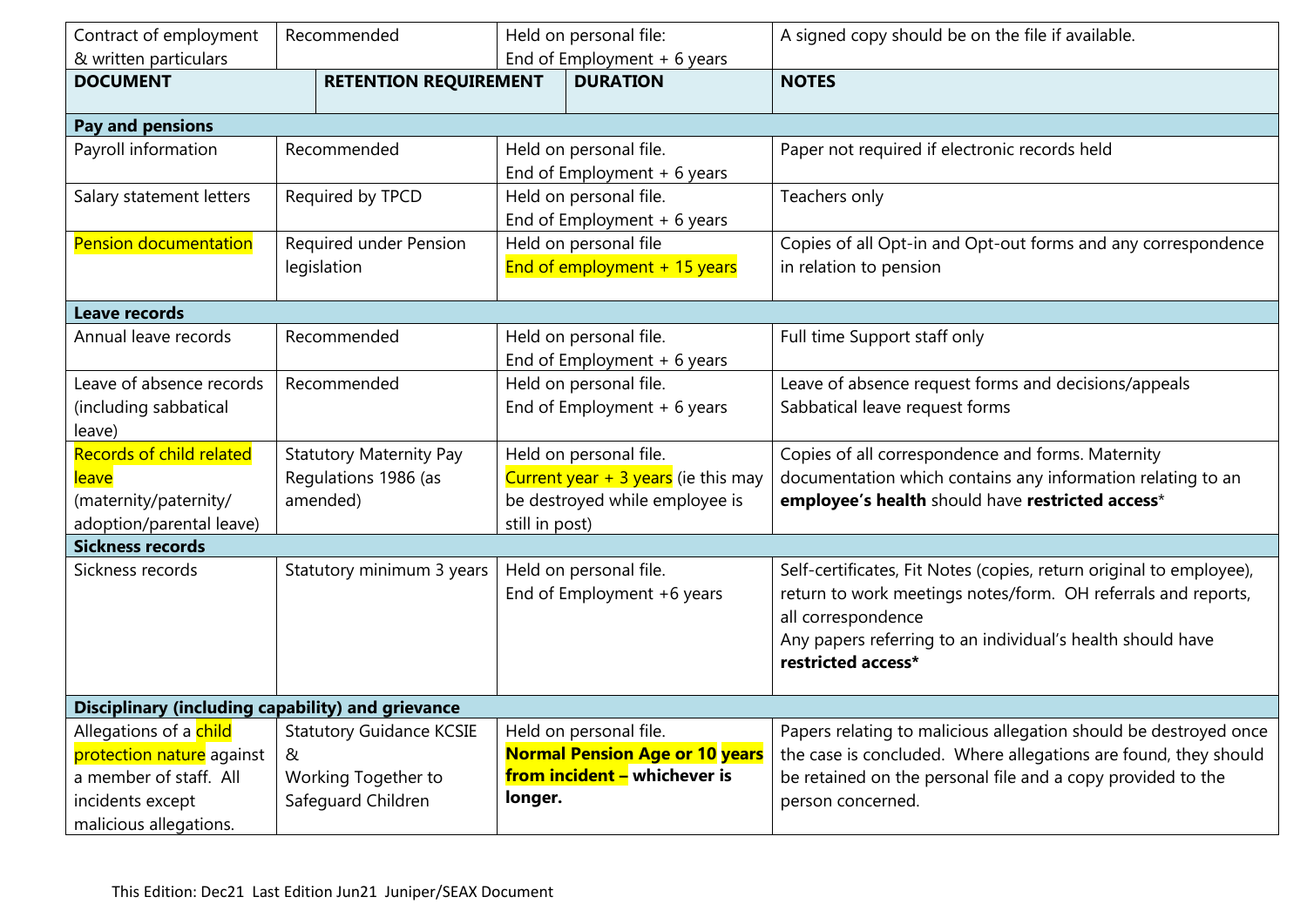| Contract of employment                                   | Recommended                     |                                      | Held on personal file:                | A signed copy should be on the file if available.                   |  |  |
|----------------------------------------------------------|---------------------------------|--------------------------------------|---------------------------------------|---------------------------------------------------------------------|--|--|
| & written particulars                                    |                                 |                                      | End of Employment + 6 years           |                                                                     |  |  |
| <b>DOCUMENT</b>                                          | <b>RETENTION REQUIREMENT</b>    |                                      | <b>DURATION</b>                       | <b>NOTES</b>                                                        |  |  |
|                                                          |                                 |                                      |                                       |                                                                     |  |  |
| Pay and pensions                                         |                                 |                                      |                                       |                                                                     |  |  |
| Payroll information                                      | Recommended                     |                                      | Held on personal file.                | Paper not required if electronic records held                       |  |  |
|                                                          |                                 |                                      | End of Employment $+6$ years          |                                                                     |  |  |
| Salary statement letters                                 | Required by TPCD                |                                      | Held on personal file.                | Teachers only                                                       |  |  |
|                                                          |                                 |                                      | End of Employment + 6 years           |                                                                     |  |  |
| Pension documentation                                    | Required under Pension          |                                      | Held on personal file                 | Copies of all Opt-in and Opt-out forms and any correspondence       |  |  |
|                                                          | legislation                     |                                      | End of employment + 15 years          | in relation to pension                                              |  |  |
|                                                          |                                 |                                      |                                       |                                                                     |  |  |
| <b>Leave records</b>                                     |                                 |                                      |                                       |                                                                     |  |  |
| Annual leave records                                     | Recommended                     |                                      | Held on personal file.                | Full time Support staff only                                        |  |  |
|                                                          |                                 |                                      | End of Employment $+6$ years          |                                                                     |  |  |
| Leave of absence records                                 | Recommended                     | Held on personal file.               |                                       | Leave of absence request forms and decisions/appeals                |  |  |
| (including sabbatical                                    |                                 | End of Employment $+6$ years         |                                       | Sabbatical leave request forms                                      |  |  |
| leave)                                                   |                                 |                                      |                                       |                                                                     |  |  |
| Records of child related                                 | <b>Statutory Maternity Pay</b>  | Held on personal file.               |                                       | Copies of all correspondence and forms. Maternity                   |  |  |
| <u>leave</u>                                             | Regulations 1986 (as            | Current year $+3$ years (ie this may |                                       | documentation which contains any information relating to an         |  |  |
| (maternity/paternity/                                    | amended)                        | be destroyed while employee is       |                                       | employee's health should have restricted access*                    |  |  |
| adoption/parental leave)                                 |                                 | still in post)                       |                                       |                                                                     |  |  |
| <b>Sickness records</b>                                  |                                 |                                      |                                       |                                                                     |  |  |
| Sickness records                                         | Statutory minimum 3 years       |                                      | Held on personal file.                | Self-certificates, Fit Notes (copies, return original to employee), |  |  |
|                                                          |                                 |                                      | End of Employment +6 years            | return to work meetings notes/form. OH referrals and reports,       |  |  |
|                                                          |                                 |                                      |                                       | all correspondence                                                  |  |  |
|                                                          |                                 |                                      |                                       | Any papers referring to an individual's health should have          |  |  |
|                                                          |                                 |                                      |                                       | restricted access*                                                  |  |  |
|                                                          |                                 |                                      |                                       |                                                                     |  |  |
| <b>Disciplinary (including capability) and grievance</b> |                                 |                                      |                                       |                                                                     |  |  |
| Allegations of a child                                   | <b>Statutory Guidance KCSIE</b> | Held on personal file.               |                                       | Papers relating to malicious allegation should be destroyed once    |  |  |
| protection nature against                                | &                               |                                      | <b>Normal Pension Age or 10 years</b> | the case is concluded. Where allegations are found, they should     |  |  |
| a member of staff. All                                   | Working Together to             | from incident - whichever is         |                                       | be retained on the personal file and a copy provided to the         |  |  |
| incidents except                                         | Safeguard Children              | longer.                              |                                       | person concerned.                                                   |  |  |
| malicious allegations.                                   |                                 |                                      |                                       |                                                                     |  |  |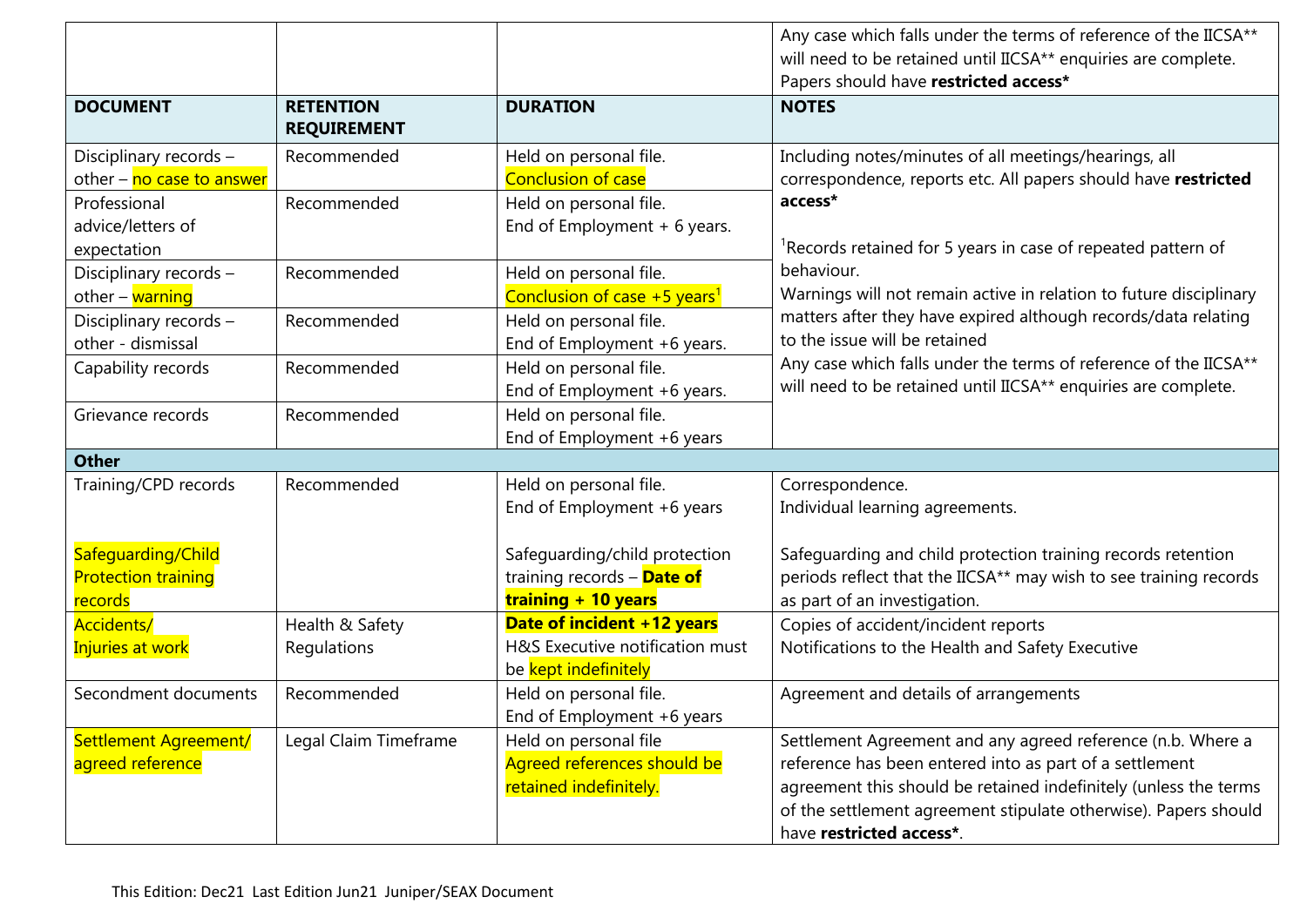|                            |                       |                                            | Any case which falls under the terms of reference of the IICSA**     |
|----------------------------|-----------------------|--------------------------------------------|----------------------------------------------------------------------|
|                            |                       |                                            | will need to be retained until IICSA** enquiries are complete.       |
|                            |                       |                                            | Papers should have restricted access*                                |
| <b>DOCUMENT</b>            | <b>RETENTION</b>      | <b>DURATION</b>                            | <b>NOTES</b>                                                         |
|                            | <b>REQUIREMENT</b>    |                                            |                                                                      |
| Disciplinary records -     | Recommended           | Held on personal file.                     | Including notes/minutes of all meetings/hearings, all                |
| other - no case to answer  |                       | <b>Conclusion of case</b>                  | correspondence, reports etc. All papers should have restricted       |
| Professional               | Recommended           | Held on personal file.                     | access*                                                              |
| advice/letters of          |                       | End of Employment $+6$ years.              |                                                                      |
| expectation                |                       |                                            | ${}^{1}$ Records retained for 5 years in case of repeated pattern of |
| Disciplinary records -     | Recommended           | Held on personal file.                     | behaviour.                                                           |
| other $-\sqrt{warninq}$    |                       | Conclusion of case $+5$ years <sup>1</sup> | Warnings will not remain active in relation to future disciplinary   |
| Disciplinary records -     | Recommended           | Held on personal file.                     | matters after they have expired although records/data relating       |
| other - dismissal          |                       | End of Employment +6 years.                | to the issue will be retained                                        |
| Capability records         | Recommended           | Held on personal file.                     | Any case which falls under the terms of reference of the IICSA**     |
|                            |                       | End of Employment +6 years.                | will need to be retained until IICSA** enquiries are complete.       |
| Grievance records          | Recommended           | Held on personal file.                     |                                                                      |
|                            |                       | End of Employment +6 years                 |                                                                      |
| <b>Other</b>               |                       |                                            |                                                                      |
| Training/CPD records       | Recommended           | Held on personal file.                     | Correspondence.                                                      |
|                            |                       | End of Employment +6 years                 | Individual learning agreements.                                      |
|                            |                       |                                            |                                                                      |
| Safeguarding/Child         |                       | Safeguarding/child protection              | Safeguarding and child protection training records retention         |
| <b>Protection training</b> |                       | training records - Date of                 | periods reflect that the IICSA** may wish to see training records    |
| records                    |                       | training + 10 years                        | as part of an investigation.                                         |
| Accidents/                 | Health & Safety       | Date of incident +12 years                 | Copies of accident/incident reports                                  |
| Injuries at work           | Regulations           | H&S Executive notification must            | Notifications to the Health and Safety Executive                     |
|                            |                       | be kept indefinitely                       |                                                                      |
| Secondment documents       | Recommended           | Held on personal file.                     | Agreement and details of arrangements                                |
|                            |                       | End of Employment +6 years                 |                                                                      |
| Settlement Agreement/      | Legal Claim Timeframe | Held on personal file                      | Settlement Agreement and any agreed reference (n.b. Where a          |
| agreed reference           |                       | Agreed references should be                | reference has been entered into as part of a settlement              |
|                            |                       | retained indefinitely.                     | agreement this should be retained indefinitely (unless the terms     |
|                            |                       |                                            | of the settlement agreement stipulate otherwise). Papers should      |
|                            |                       |                                            | have restricted access*.                                             |